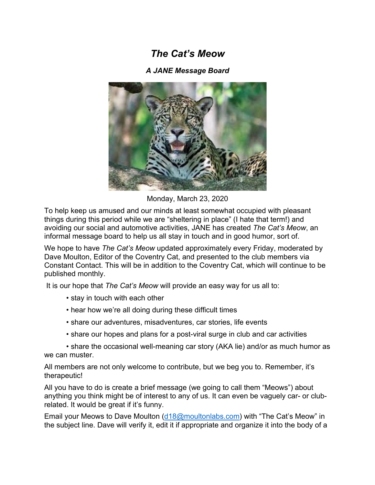## *The Cat's Meow*

## *A JANE Message Board*



Monday, March 23, 2020

To help keep us amused and our minds at least somewhat occupied with pleasant things during this period while we are "sheltering in place" (I hate that term!) and avoiding our social and automotive activities, JANE has created *The Cat's Meow*, an informal message board to help us all stay in touch and in good humor, sort of.

We hope to have *The Cat's Meow* updated approximately every Friday, moderated by Dave Moulton, Editor of the Coventry Cat, and presented to the club members via Constant Contact. This will be in addition to the Coventry Cat, which will continue to be published monthly.

It is our hope that *The Cat's Meow* will provide an easy way for us all to:

- stay in touch with each other
- hear how we're all doing during these difficult times
- share our adventures, misadventures, car stories, life events
- share our hopes and plans for a post-viral surge in club and car activities

• share the occasional well-meaning car story (AKA lie) and/or as much humor as we can muster.

All members are not only welcome to contribute, but we beg you to. Remember, it's therapeutic!

All you have to do is create a brief message (we going to call them "Meows") about anything you think might be of interest to any of us. It can even be vaguely car- or clubrelated. It would be great if it's funny.

Email your Meows to Dave Moulton (d18@moultonlabs.com) with "The Cat's Meow" in the subject line. Dave will verify it, edit it if appropriate and organize it into the body of a